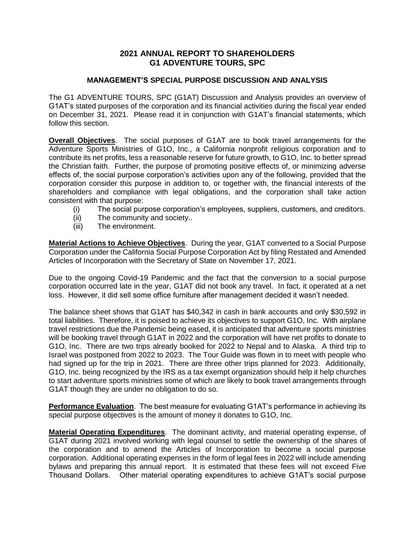## **2021 ANNUAL REPORT TO SHAREHOLDERS G1 ADVENTURE TOURS, SPC**

## **MANAGEMENT'S SPECIAL PURPOSE DISCUSSION AND ANALYSIS**

The G1 ADVENTURE TOURS, SPC (G1AT) Discussion and Analysis provides an overview of G1AT's stated purposes of the corporation and its financial activities during the fiscal year ended on December 31, 2021. Please read it in conjunction with G1AT's financial statements, which follow this section.

**Overall Objectives**. The social purposes of G1AT are to book travel arrangements for the Adventure Sports Ministries of G1O, Inc., a California nonprofit religious corporation and to contribute its net profits, less a reasonable reserve for future growth, to G1O, Inc. to better spread the Christian faith. Further, the purpose of promoting positive effects of, or minimizing adverse effects of, the social purpose corporation's activities upon any of the following, provided that the corporation consider this purpose in addition to, or together with, the financial interests of the shareholders and compliance with legal obligations, and the corporation shall take action consistent with that purpose:

- (i) The social purpose corporation's employees, suppliers, customers, and creditors.
- (ii) The community and society..
- (iii) The environment.

**Material Actions to Achieve Objectives**. During the year, G1AT converted to a Social Purpose Corporation under the California Social Purpose Corporation Act by filing Restated and Amended Articles of Incorporation with the Secretary of State on November 17, 2021.

Due to the ongoing Covid-19 Pandemic and the fact that the conversion to a social purpose corporation occurred late in the year, G1AT did not book any travel. In fact, it operated at a net loss. However, it did sell some office furniture after management decided it wasn't needed.

The balance sheet shows that G1AT has \$40,342 in cash in bank accounts and only \$30,592 in total liabilities. Therefore, it is poised to achieve its objectives to support G1O, Inc. With airplane travel restrictions due the Pandemic being eased, it is anticipated that adventure sports ministries will be booking travel through G1AT in 2022 and the corporation will have net profits to donate to G1O, Inc. There are two trips already booked for 2022 to Nepal and to Alaska. A third trip to Israel was postponed from 2022 to 2023. The Tour Guide was flown in to meet with people who had signed up for the trip in 2021. There are three other trips planned for 2023. Additionally, G1O, Inc. being recognized by the IRS as a tax exempt organization should help it help churches to start adventure sports ministries some of which are likely to book travel arrangements through G1AT though they are under no obligation to do so.

**Performance Evaluation**. The best measure for evaluating G1AT's performance in achieving its special purpose objectives is the amount of money it donates to G1O, Inc.

**Material Operating Expenditures**. The dominant activity, and material operating expense, of G1AT during 2021 involved working with legal counsel to settle the ownership of the shares of the corporation and to amend the Articles of Incorporation to become a social purpose corporation. Additional operating expenses in the form of legal fees in 2022 will include amending bylaws and preparing this annual report. It is estimated that these fees will not exceed Five Thousand Dollars. Other material operating expenditures to achieve G1AT's social purpose